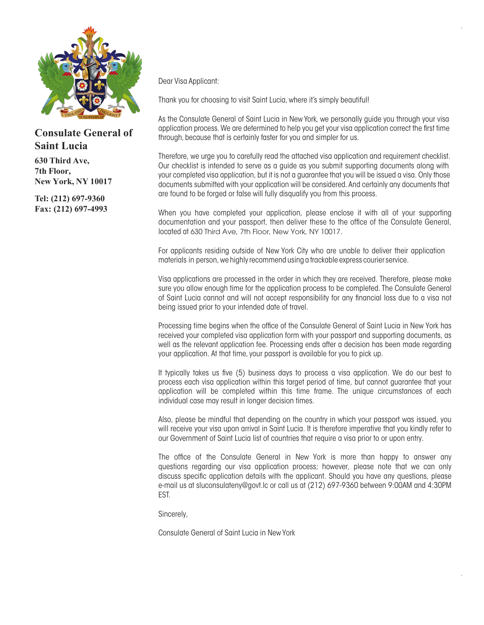

## **Consulate General of Saint Lucia**

**630 Third Ave, 7th Floor, New York, NY 10017**

**Tel: (212) 697-9360 Fax: (212) 697-4993** Dear Visa Applicant:

Thank you for choosing to visit Saint Lucia, where it's simply beautiful!

As the Consulate General of Saint Lucia in New York, we personally guide you through your visa application process. We are determined to help you get your visa application correct the first time through, because that is certainly faster for you and simpler for us.

Therefore, we urge you to carefully read the attached visa application and requirement checklist. Our checklist is intended to serve as a guide as you submit supporting documents along with your completed visa application, but it is not a guarantee that you will be issued a visa. Only those documents submitted with your application will be considered. And certainly any documents that are found to be forged or false will fully disqualify you from this process.

When you have completed your application, please enclose it with all of your supporting documentation and your passport, then deliver these to the office of the Consulate General, located at 630 Third Ave, 7th Floor, New York, NY 10017.

For applicants residing outside of New York City who are unable to deliver their application materials in person, we highly recommend using a trackable express courier service.

Visa applications are processed in the order in which they are received. Therefore, please make sure you allow enough time for the application process to be completed. The Consulate General of Saint Lucia cannot and will not accept responsibility for any financial loss due to a visa not being issued prior to your intended date of travel.

Processing time begins when the office of the Consulate General of Saint Lucia in New York has received your completed visa application form with your passport and supporting documents, as well as the relevant application fee. Processing ends after a decision has been made regarding your application. At that time, your passport is available for you to pick up.

It typically takes us five (5) business days to process a visa application. We do our best to process each visa application within this target period of time, but cannot guarantee that your application will be completed within this time frame. The unique circumstances of each individual case may result in longer decision times.

Also, please be mindful that depending on the country in which your passport was issued, you will receive your visa upon arrival in Saint Lucia. It is therefore imperative that you kindly refer to our Government of Saint Lucia list of countries that require a visa prior to or upon entry.

The office of the Consulate General in New York is more than happy to answer any questions regarding our visa application process; however, please note that we can only discuss specific application details with the applicant. Should you have any questions, please e-mail us at sluconsulateny@govt.lc or call us at (212) 697-9360 between 9:00AM and 4:30PM EST.

Sincerely,

Consulate General of Saint Lucia in New York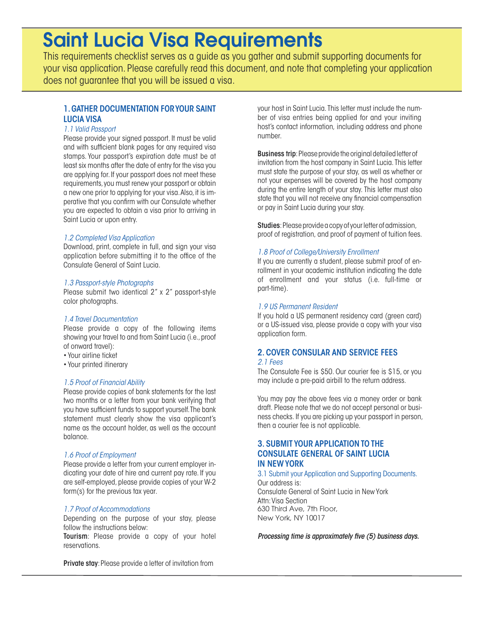# Saint Lucia Visa Requirements

This requirements checklist serves as a guide as you gather and submit supporting documents for your visa application. Please carefully read this document, and note that completing your application does not guarantee that you will be issued a visa.

#### 1. GATHER DOCUMENTATION FOR YOUR SAINT LUCIA VISA

#### *1.1 Valid Passport*

Please provide your signed passport. It must be valid and with sufficient blank pages for any required visa stamps. Your passport's expiration date must be at least six months after the date of entry for the visa you are applying for. If your passport does not meet these requirements, you must renew your passport or obtain a new one prior to applying for your visa. Also, it is imperative that you confirm with our Consulate whether you are expected to obtain a visa prior to arriving in Saint Lucia or upon entry.

#### *1.2 Completed Visa Application*

Download, print, complete in full, and sign your visa application before submitting it to the office of the Consulate General of Saint Lucia.

#### *1.3 Passport-style Photographs*

Please submit two identical 2" x 2" passport-style color photographs.

#### *1.4 Travel Documentation*

Please provide a copy of the following items showing your travel to and from Saint Lucia (i.e., proof of onward travel):

- Your airline ticket
- Your printed itinerary

#### *1.5 Proof of Financial Ability*

Please provide copies of bank statements for the last two months or a letter from your bank verifying that you have sufficient funds to support yourself. The bank statement must clearly show the visa applicant's name as the account holder, as well as the account balance.

#### *1.6 Proof of Employment*

Please provide a letter from your current employer indicating your date of hire and current pay rate. If you are self-employed, please provide copies of your W-2 form(s) for the previous tax year.

#### *1.7 Proof of Accommodations*

Depending on the purpose of your stay, please follow the instructions below:

Tourism: Please provide a copy of your hotel reservations.

Private stay: Please provide a letter of invitation from

your host in Saint Lucia. This letter must include the number of visa entries being applied for and your inviting host's contact information, including address and phone number.

Business trip: Please provide the original detailed letter of invitation from the host company in Saint Lucia. This letter must state the purpose of your stay, as well as whether or not your expenses will be covered by the host company during the entire length of your stay. This letter must also state that you will not receive any financial compensation or pay in Saint Lucia during your stay.

Studies: Please provide a copy of your letter of admission, proof of registration, and proof of payment of tuition fees.

#### *1.8 Proof of College/University Enrollment*

If you are currently a student, please submit proof of enrollment in your academic institution indicating the date of enrollment and your status (i.e. full-time or part-time).

#### *1.9 US Permanent Resident*

If you hold a US permanent residency card (green card) or a US-issued visa, please provide a copy with your visa application form.

### 2. COVER CONSULAR AND SERVICE FEES

#### *2.1 Fees*

The Consulate Fee is \$50. Our courier fee is \$15, or you may include a pre-paid airbill to the return address.

You may pay the above fees via a money order or bank draft. Please note that we do not accept personal or business checks. If you are picking up your passport in person, then a courier fee is not applicable.

#### 3. SUBMIT YOUR APPLICATION TO THE CONSULATE GENERAL OF SAINT LUCIA IN NEW YORK

3.1 Submit your Application and Supporting Documents. Our address is: Consulate General of Saint Lucia in New York

Attn: Visa Section 630 Third Ave, 7th Floor, New York, NY 10017

*Processing time is approximately five (5) business days.*